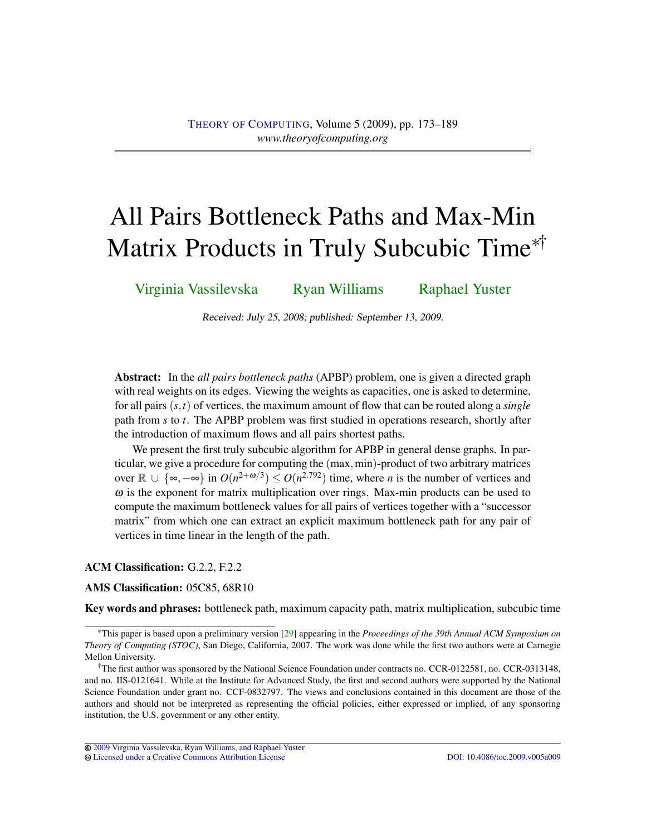# <span id="page-0-0"></span>All Pairs Bottleneck Paths and Max-Min Matrix Products in Truly Subcubic Time<sup>∗</sup>†

[Virginia Vassilevska](#page-15-0) [Ryan Williams](#page-16-0) [Raphael Yuster](#page-16-1)

Received: July 25, 2008; published: September 13, 2009.

Abstract: In the *all pairs bottleneck paths* (APBP) problem, one is given a directed graph with real weights on its edges. Viewing the weights as capacities, one is asked to determine, for all pairs (*s*,*t*) of vertices, the maximum amount of flow that can be routed along a *single* path from *s* to *t*. The APBP problem was first studied in operations research, shortly after the introduction of maximum flows and all pairs shortest paths.

We present the first truly subcubic algorithm for APBP in general dense graphs. In particular, we give a procedure for computing the (max,min)-product of two arbitrary matrices over  $\mathbb{R}$  ∪ {∞,  $-\infty$ } in  $O(n^{2+\omega/3}) \leq O(n^{2.792})$  time, where *n* is the number of vertices and  $\omega$  is the exponent for matrix multiplication over rings. Max-min products can be used to compute the maximum bottleneck values for all pairs of vertices together with a "successor matrix" from which one can extract an explicit maximum bottleneck path for any pair of vertices in time linear in the length of the path.

## ACM Classification: G.2.2, F.2.2

## AMS Classification: 05C85, 68R10

Key words and phrases: bottleneck path, maximum capacity path, matrix multiplication, subcubic time

<sup>∗</sup>This paper is based upon a preliminary version [\[29\]](#page-15-1) appearing in the *Proceedings of the 39th Annual ACM Symposium on Theory of Computing (STOC)*, San Diego, California, 2007. The work was done while the first two authors were at Carnegie Mellon University.

<sup>&</sup>lt;sup>†</sup>The first author was sponsored by the National Science Foundation under contracts no. CCR-0122581, no. CCR-0313148, and no. IIS-0121641. While at the Institute for Advanced Study, the first and second authors were supported by the National Science Foundation under grant no. CCF-0832797. The views and conclusions contained in this document are those of the authors and should not be interpreted as representing the official policies, either expressed or implied, of any sponsoring institution, the U.S. government or any other entity.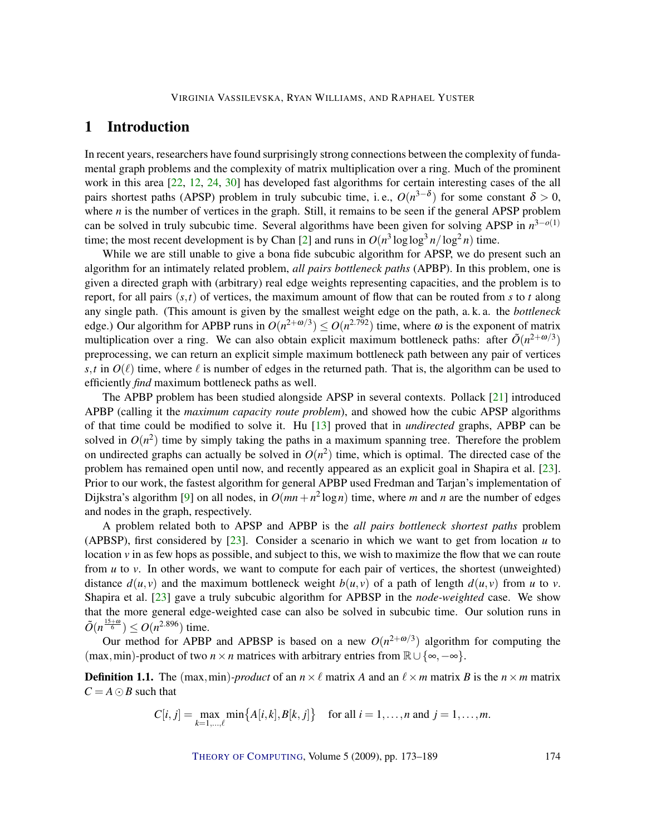# <span id="page-1-0"></span>1 Introduction

In recent years, researchers have found surprisingly strong connections between the complexity of fundamental graph problems and the complexity of matrix multiplication over a ring. Much of the prominent work in this area [\[22,](#page-15-2) [12,](#page-14-0) [24,](#page-15-3) [30\]](#page-15-4) has developed fast algorithms for certain interesting cases of the all pairs shortest paths (APSP) problem in truly subcubic time, i.e.,  $O(n^{3-\delta})$  for some constant  $\delta > 0$ , where *n* is the number of vertices in the graph. Still, it remains to be seen if the general APSP problem can be solved in truly subcubic time. Several algorithms have been given for solving APSP in *n* 3−*o*(1) time; the most recent development is by Chan [\[2\]](#page-13-0) and runs in  $O(n^3 \log \log^3 n / \log^2 n)$  time.

While we are still unable to give a bona fide subcubic algorithm for APSP, we do present such an algorithm for an intimately related problem, *all pairs bottleneck paths* (APBP). In this problem, one is given a directed graph with (arbitrary) real edge weights representing capacities, and the problem is to report, for all pairs  $(s,t)$  of vertices, the maximum amount of flow that can be routed from  $s$  to  $t$  along any single path. (This amount is given by the smallest weight edge on the path, a. k. a. the *bottleneck* edge.) Our algorithm for APBP runs in  $O(n^{2+\omega/3}) \leq O(n^{2.792})$  time, where  $\omega$  is the exponent of matrix multiplication over a ring. We can also obtain explicit maximum bottleneck paths: after  $\tilde{O}(n^{2+\omega/3})$ preprocessing, we can return an explicit simple maximum bottleneck path between any pair of vertices *s*,*t* in  $O(\ell)$  time, where  $\ell$  is number of edges in the returned path. That is, the algorithm can be used to efficiently *find* maximum bottleneck paths as well.

The APBP problem has been studied alongside APSP in several contexts. Pollack [\[21\]](#page-14-1) introduced APBP (calling it the *maximum capacity route problem*), and showed how the cubic APSP algorithms of that time could be modified to solve it. Hu [\[13\]](#page-14-2) proved that in *undirected* graphs, APBP can be solved in  $O(n^2)$  time by simply taking the paths in a maximum spanning tree. Therefore the problem on undirected graphs can actually be solved in  $O(n^2)$  time, which is optimal. The directed case of the problem has remained open until now, and recently appeared as an explicit goal in Shapira et al. [\[23\]](#page-15-5). Prior to our work, the fastest algorithm for general APBP used Fredman and Tarjan's implementation of Dijkstra's algorithm [\[9\]](#page-14-3) on all nodes, in  $O(mn + n^2 \log n)$  time, where *m* and *n* are the number of edges and nodes in the graph, respectively.

A problem related both to APSP and APBP is the *all pairs bottleneck shortest paths* problem (APBSP), first considered by  $[23]$ . Consider a scenario in which we want to get from location  $u$  to location  $\nu$  in as few hops as possible, and subject to this, we wish to maximize the flow that we can route from *u* to *v*. In other words, we want to compute for each pair of vertices, the shortest (unweighted) distance  $d(u, v)$  and the maximum bottleneck weight  $b(u, v)$  of a path of length  $d(u, v)$  from *u* to *v*. Shapira et al. [\[23\]](#page-15-5) gave a truly subcubic algorithm for APBSP in the *node-weighted* case. We show that the more general edge-weighted case can also be solved in subcubic time. Our solution runs in  $\tilde{O}(n^{\frac{15+\omega}{6}}) \leq O(n^{2.896})$  time.

Our method for APBP and APBSP is based on a new  $O(n^{2+\omega/3})$  algorithm for computing the (max, min)-product of two  $n \times n$  matrices with arbitrary entries from  $\mathbb{R} \cup \{\infty, -\infty\}.$ 

**Definition 1.1.** The (max,min)*-product* of an  $n \times \ell$  matrix *A* and an  $\ell \times m$  matrix *B* is the  $n \times m$  matrix  $C = A \odot B$  such that

$$
C[i, j] = \max_{k=1,\dots,\ell} \min\{A[i, k], B[k, j]\} \text{ for all } i = 1,\dots, n \text{ and } j = 1,\dots, m.
$$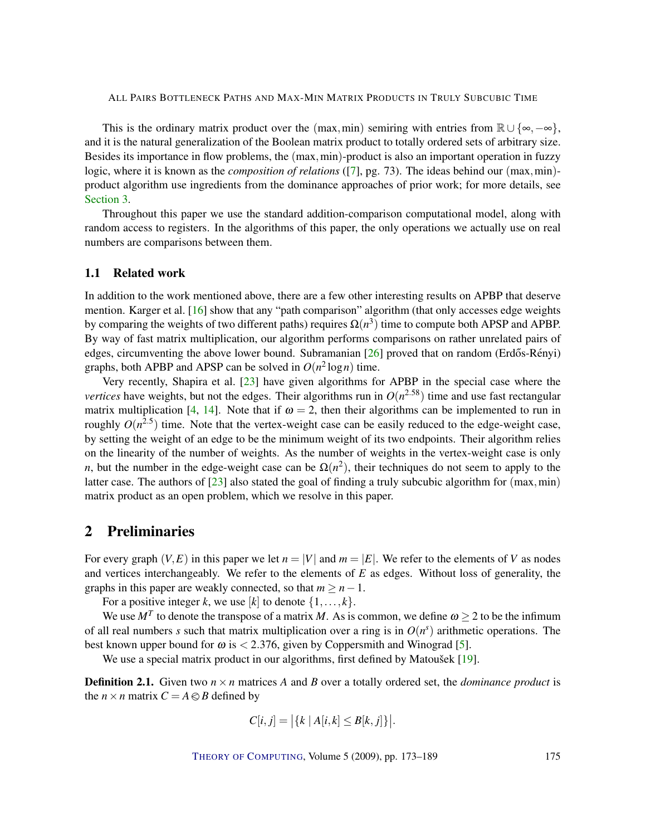<span id="page-2-1"></span>This is the ordinary matrix product over the (max,min) semiring with entries from  $\mathbb{R} \cup {\infty, -\infty}$ , and it is the natural generalization of the Boolean matrix product to totally ordered sets of arbitrary size. Besides its importance in flow problems, the (max,min)-product is also an important operation in fuzzy logic, where it is known as the *composition of relations* ([\[7\]](#page-14-4), pg. 73). The ideas behind our (max,min)product algorithm use ingredients from the dominance approaches of prior work; for more details, see [Section](#page-3-0) [3.](#page-3-0)

Throughout this paper we use the standard addition-comparison computational model, along with random access to registers. In the algorithms of this paper, the only operations we actually use on real numbers are comparisons between them.

## 1.1 Related work

In addition to the work mentioned above, there are a few other interesting results on APBP that deserve mention. Karger et al. [\[16\]](#page-14-5) show that any "path comparison" algorithm (that only accesses edge weights by comparing the weights of two different paths) requires  $\Omega(n^3)$  time to compute both APSP and APBP. By way of fast matrix multiplication, our algorithm performs comparisons on rather unrelated pairs of edges, circumventing the above lower bound. Subramanian  $[26]$  proved that on random (Erdős-Rényi) graphs, both APBP and APSP can be solved in  $O(n^2 \log n)$  time.

Very recently, Shapira et al. [\[23\]](#page-15-5) have given algorithms for APBP in the special case where the *vertices* have weights, but not the edges. Their algorithms run in  $O(n^{2.58})$  time and use fast rectangular matrix multiplication [\[4,](#page-13-1) [14\]](#page-14-6). Note that if  $\omega = 2$ , then their algorithms can be implemented to run in roughly  $O(n^{2.5})$  time. Note that the vertex-weight case can be easily reduced to the edge-weight case, by setting the weight of an edge to be the minimum weight of its two endpoints. Their algorithm relies on the linearity of the number of weights. As the number of weights in the vertex-weight case is only *n*, but the number in the edge-weight case can be  $\Omega(n^2)$ , their techniques do not seem to apply to the latter case. The authors of  $[23]$  also stated the goal of finding a truly subcubic algorithm for (max,min) matrix product as an open problem, which we resolve in this paper.

# <span id="page-2-0"></span>2 Preliminaries

For every graph  $(V, E)$  in this paper we let  $n = |V|$  and  $m = |E|$ . We refer to the elements of V as nodes and vertices interchangeably. We refer to the elements of *E* as edges. Without loss of generality, the graphs in this paper are weakly connected, so that  $m > n - 1$ .

For a positive integer *k*, we use [*k*] to denote  $\{1, \ldots, k\}$ .

We use  $M^T$  to denote the transpose of a matrix M. As is common, we define  $\omega \geq 2$  to be the infimum of all real numbers *s* such that matrix multiplication over a ring is in  $O(n^s)$  arithmetic operations. The best known upper bound for  $\omega$  is  $\langle 2.376,$  given by Coppersmith and Winograd [\[5\]](#page-13-2).

We use a special matrix product in our algorithms, first defined by Matoušek  $[19]$  $[19]$ .

**Definition 2.1.** Given two  $n \times n$  matrices A and B over a totally ordered set, the *dominance product* is the  $n \times n$  matrix  $C = A \otimes B$  defined by

$$
C[i,j] = \left| \{ k \mid A[i,k] \leq B[k,j] \} \right|.
$$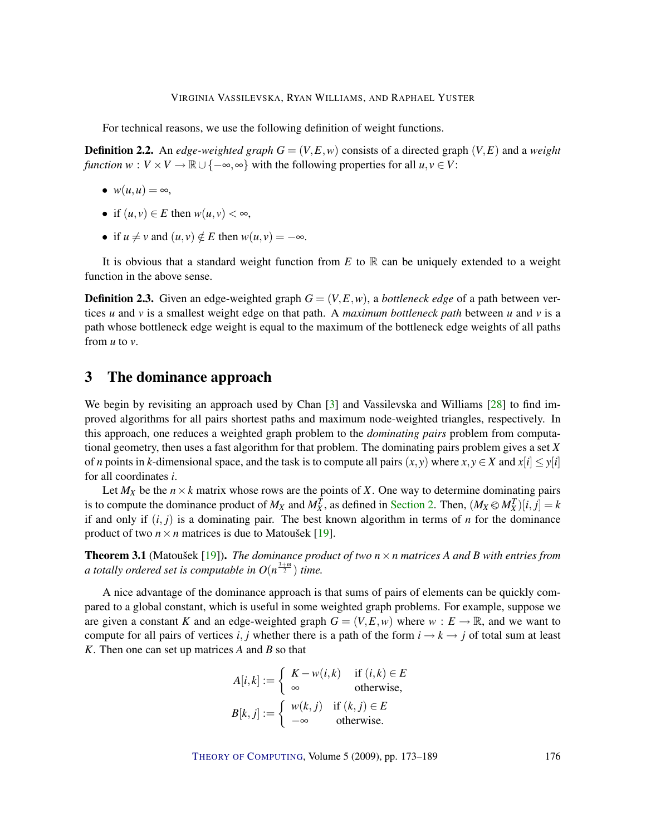<span id="page-3-1"></span>For technical reasons, we use the following definition of weight functions.

**Definition 2.2.** An *edge-weighted graph*  $G = (V, E, w)$  consists of a directed graph  $(V, E)$  and a *weight function*  $w : V \times V \to \mathbb{R} \cup \{-\infty, \infty\}$  with the following properties for all  $u, v \in V$ :

- $w(u, u) = \infty$ ,
- if  $(u, v) \in E$  then  $w(u, v) < \infty$ ,
- if  $u \neq v$  and  $(u, v) \notin E$  then  $w(u, v) = -\infty$ .

It is obvious that a standard weight function from  $E$  to  $\mathbb R$  can be uniquely extended to a weight function in the above sense.

**Definition 2.3.** Given an edge-weighted graph  $G = (V, E, w)$ , a *bottleneck edge* of a path between vertices *u* and *v* is a smallest weight edge on that path. A *maximum bottleneck path* between *u* and *v* is a path whose bottleneck edge weight is equal to the maximum of the bottleneck edge weights of all paths from *u* to *v*.

# <span id="page-3-0"></span>3 The dominance approach

We begin by revisiting an approach used by Chan [\[3\]](#page-13-3) and Vassilevska and Williams [\[28\]](#page-15-7) to find improved algorithms for all pairs shortest paths and maximum node-weighted triangles, respectively. In this approach, one reduces a weighted graph problem to the *dominating pairs* problem from computational geometry, then uses a fast algorithm for that problem. The dominating pairs problem gives a set *X* of *n* points in *k*-dimensional space, and the task is to compute all pairs  $(x, y)$  where  $x, y \in X$  and  $x[i] \leq y[i]$ for all coordinates *i*.

Let  $M_X$  be the  $n \times k$  matrix whose rows are the points of *X*. One way to determine dominating pairs is to compute the dominance product of  $M_X$  and  $M_X^T$ , as defined in Section [2. Then,](#page-2-0)  $(M_X \otimes M_X^T)[i, j] = k$ <br>if and only if  $(i, j)$  is a dominating pair. The best known election in terms of n for the dominance if and only if  $(i, j)$  is a dominating pair. The best known algorithm in terms of *n* for the dominance product of two  $n \times n$  matrices is due to Matousek [[19\]](#page-14-7).

**Theorem 3.1** (Matoušek [[19\]](#page-14-7)). *The dominance product of two*  $n \times n$  *matrices A and B with entries from a totally ordered set is computable in*  $O(n^{\frac{3+\omega}{2}})$  *time.* 

A nice advantage of the dominance approach is that sums of pairs of elements can be quickly compared to a global constant, which is useful in some weighted graph problems. For example, suppose we are given a constant *K* and an edge-weighted graph  $G = (V, E, w)$  where  $w : E \to \mathbb{R}$ , and we want to compute for all pairs of vertices *i*, *j* whether there is a path of the form  $i \rightarrow k \rightarrow j$  of total sum at least *K*. Then one can set up matrices *A* and *B* so that

$$
A[i,k] := \begin{cases} K - w(i,k) & \text{if } (i,k) \in E \\ \infty & \text{otherwise,} \end{cases}
$$

$$
B[k,j] := \begin{cases} w(k,j) & \text{if } (k,j) \in E \\ -\infty & \text{otherwise.} \end{cases}
$$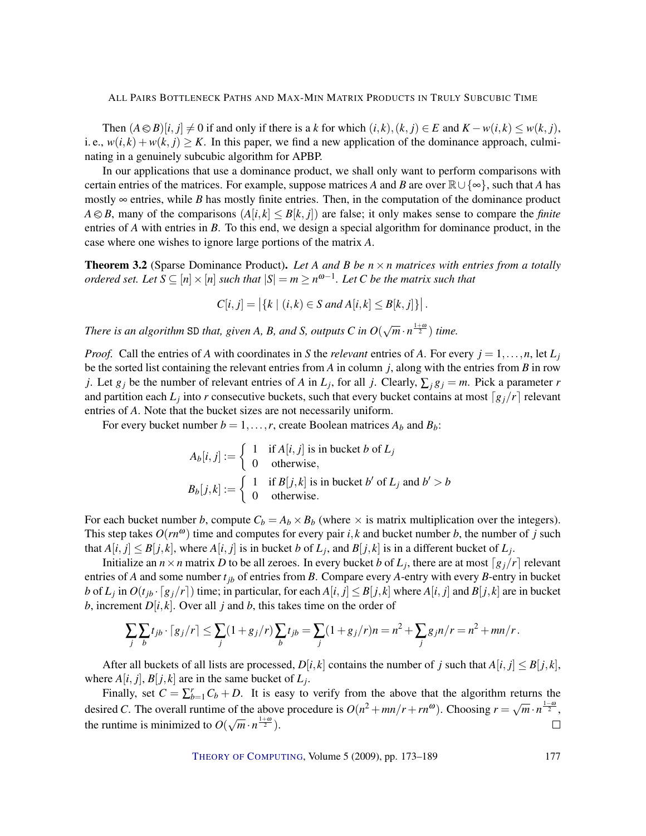Then  $(A \otimes B)[i, j] \neq 0$  if and only if there is a *k* for which  $(i, k), (k, j) \in E$  and  $K - w(i, k) \leq w(k, j)$ , i. e.,  $w(i,k) + w(k, j) \geq K$ . In this paper, we find a new application of the dominance approach, culminating in a genuinely subcubic algorithm for APBP.

In our applications that use a dominance product, we shall only want to perform comparisons with certain entries of the matrices. For example, suppose matrices *A* and *B* are over  $\mathbb{R}\cup\{\infty\}$ , such that *A* has mostly  $\infty$  entries, while *B* has mostly finite entries. Then, in the computation of the dominance product  $A \otimes B$ , many of the comparisons  $(A[i, k] \leq B[k, j])$  are false; it only makes sense to compare the *finite* entries of *A* with entries in *B*. To this end, we design a special algorithm for dominance product, in the case where one wishes to ignore large portions of the matrix *A*.

<span id="page-4-0"></span>**Theorem 3.2** (Sparse Dominance Product). Let A and B be  $n \times n$  matrices with entries from a totally *ordered set. Let*  $S \subseteq [n] \times [n]$  *such that*  $|S| = m \ge n^{\omega-1}$ . Let C be the matrix such that

$$
C[i, j] = |\{k \mid (i,k) \in S \text{ and } A[i, k] \leq B[k, j]\}|.
$$

There is an algorithm SD that, given A, B, and S, outputs C in  $O(\sqrt{m} \cdot n^{\frac{1+\omega}{2}})$  time.

*Proof.* Call the entries of *A* with coordinates in *S* the *relevant* entries of *A*. For every  $j = 1, \ldots, n$ , let  $L_j$ be the sorted list containing the relevant entries from *A* in column *j*, along with the entries from *B* in row *j*. Let  $g_j$  be the number of relevant entries of *A* in  $L_j$ , for all *j*. Clearly,  $\sum_j g_j = m$ . Pick a parameter *r* and partition each  $L_j$  into *r* consecutive buckets, such that every bucket contains at most  $\lceil g_j/r \rceil$  relevant entries of *A*. Note that the bucket sizes are not necessarily uniform.

For every bucket number  $b = 1, \ldots, r$ , create Boolean matrices  $A_b$  and  $B_b$ :

$$
A_b[i, j] := \begin{cases} 1 & \text{if } A[i, j] \text{ is in bucket } b \text{ of } L_j \\ 0 & \text{otherwise,} \end{cases}
$$
  

$$
B_b[j, k] := \begin{cases} 1 & \text{if } B[j, k] \text{ is in bucket } b' \text{ of } L_j \text{ and } b' > b \\ 0 & \text{otherwise.} \end{cases}
$$

For each bucket number *b*, compute  $C_b = A_b \times B_b$  (where  $\times$  is matrix multiplication over the integers). This step takes  $O(rn^{\omega})$  time and computes for every pair *i*, *k* and bucket number *b*, the number of *j* such that  $A[i, j] \leq B[j, k]$ , where  $A[i, j]$  is in bucket *b* of  $L_j$ , and  $B[j, k]$  is in a different bucket of  $L_j$ .

Initialize an  $n \times n$  matrix *D* to be all zeroes. In every bucket *b* of  $L_j$ , there are at most  $\lceil g_j/r \rceil$  relevant entries of *A* and some number *tjb* of entries from *B*. Compare every *A*-entry with every *B*-entry in bucket b of  $L_j$  in  $O(t_{jb} \cdot [g_j/r])$  time; in particular, for each  $A[i, j] \le B[j, k]$  where  $A[i, j]$  and  $B[j, k]$  are in bucket *b*, increment  $D[i, k]$ . Over all *j* and *b*, this takes time on the order of

$$
\sum_{j} \sum_{b} t_{jb} \cdot [g_j/r] \le \sum_{j} (1 + g_j/r) \sum_{b} t_{jb} = \sum_{j} (1 + g_j/r)n = n^2 + \sum_{j} g_j n/r = n^2 + mn/r.
$$

After all buckets of all lists are processed,  $D[i, k]$  contains the number of *j* such that  $A[i, j] \leq B[j, k]$ , where  $A[i, j], B[j, k]$  are in the same bucket of  $L_j$ .

Finally, set  $C = \sum_{b=1}^{r} C_b + D$ . It is easy to verify from the above that the algorithm returns the desired *C*. The overall runtime of the above procedure is  $O(n^2 + mn/r + rn^{\omega})$ . Choosing  $r = \sqrt{m} \cdot n^{\frac{1-\omega}{2}}$ , the runtime is minimized to  $O(\sqrt{m} \cdot n^{\frac{1+\omega}{2}})$ .  $\Box$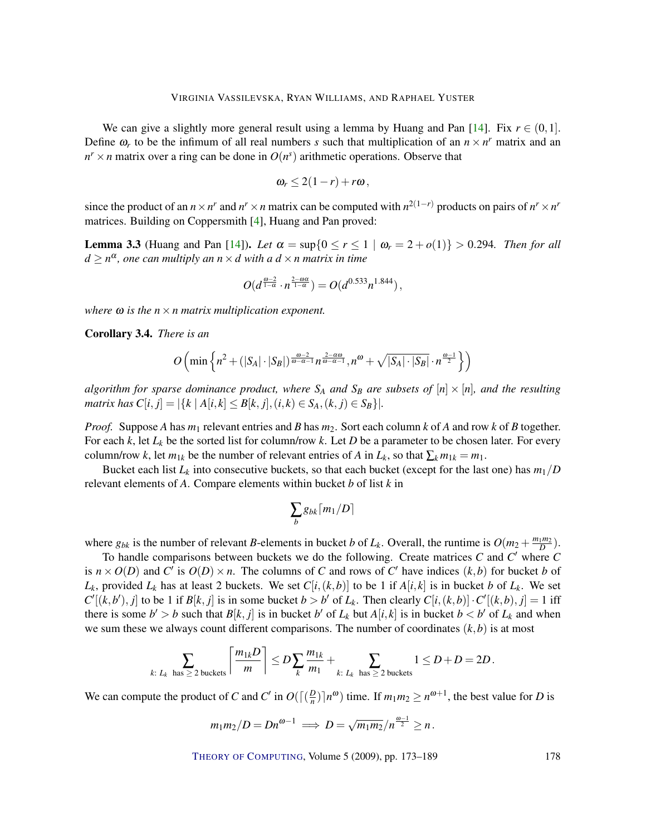<span id="page-5-1"></span>We can give a slightly more general result using a lemma by Huang and Pan [\[14\]](#page-14-6). Fix  $r \in (0,1]$ . Define  $\omega_r$  to be the infimum of all real numbers *s* such that multiplication of an  $n \times n^r$  matrix and an  $n^r \times n$  matrix over a ring can be done in  $O(n^s)$  arithmetic operations. Observe that

$$
\omega_r\leq 2(1-r)+r\omega,
$$

since the product of an  $n \times n^r$  and  $n^r \times n$  matrix can be computed with  $n^{2(1-r)}$  products on pairs of  $n^r \times n^r$ matrices. Building on Coppersmith [\[4\]](#page-13-1), Huang and Pan proved:

<span id="page-5-0"></span>**Lemma 3.3** (Huang and Pan [\[14\]](#page-14-6)). Let  $\alpha = \sup\{0 \le r \le 1 \mid \omega_r = 2 + o(1)\} > 0.294$ . Then for all *d* ≥ *n* α *, one can multiply an n*×*d with a d* ×*n matrix in time*

$$
O(d^{\frac{\omega-2}{1-\alpha}}\cdot n^{\frac{2-\omega\alpha}{1-\alpha}})=O(d^{0.533}n^{1.844}),
$$

*where* ω *is the n*×*n matrix multiplication exponent.*

Corollary 3.4. *There is an*

$$
O\left(\min\left\{n^2 + (|S_A|\cdot|S_B|)^{\frac{\omega-2}{\omega-\alpha-1}}n^{\frac{2-\alpha\omega}{\omega-\alpha-1}}, n^{\omega} + \sqrt{|S_A|\cdot|S_B|} \cdot n^{\frac{\omega-1}{2}}\right\}\right)
$$

*algorithm for sparse dominance product, where*  $S_A$  *and*  $S_B$  *are subsets of*  $[n] \times [n]$ *, and the resulting matrix has*  $C[i, j] = |\{k | A[i, k] \le B[k, j], (i, k) \in S_A, (k, j) \in S_B\}|.$ 

*Proof.* Suppose *A* has *m*<sup>1</sup> relevant entries and *B* has *m*2. Sort each column *k* of *A* and row *k* of *B* together. For each  $k$ , let  $L_k$  be the sorted list for column/row  $k$ . Let  $D$  be a parameter to be chosen later. For every column/row *k*, let  $m_{1k}$  be the number of relevant entries of *A* in  $L_k$ , so that  $\sum_k m_{1k} = m_1$ .

Bucket each list  $L_k$  into consecutive buckets, so that each bucket (except for the last one) has  $m_1/D$ relevant elements of *A*. Compare elements within bucket *b* of list *k* in

$$
\sum_{b}g_{bk}\lceil m_1/D\rceil
$$

where  $g_{bk}$  is the number of relevant *B*-elements in bucket *b* of  $L_k$ . Overall, the runtime is  $O(m_2 + \frac{m_1 m_2}{D})$ .

To handle comparisons between buckets we do the following. Create matrices *C* and *C'* where *C* is  $n \times O(D)$  and *C*<sup> $\prime$ </sup> is  $O(D) \times n$ . The columns of *C* and rows of *C*<sup> $\prime$ </sup> have indices (*k*,*b*) for bucket *b* of *L*<sub>*k*</sub>, provided *L*<sub>*k*</sub> has at least 2 buckets. We set  $C[i,(k,b)]$  to be 1 if  $A[i,k]$  is in bucket *b* of *L*<sub>*k*</sub>. We set  $C'[(k,b'),j]$  to be 1 if  $B[k,j]$  is in some bucket  $b > b'$  of  $L_k$ . Then clearly  $C[i,(k,b)] \cdot C'[(k,b),j] = 1$  iff there is some  $b' > b$  such that  $B[k, j]$  is in bucket  $b'$  of  $L_k$  but  $A[i, k]$  is in bucket  $b < b'$  of  $L_k$  and when we sum these we always count different comparisons. The number of coordinates  $(k, b)$  is at most

$$
\sum_{k:\ L_k \text{ has } \geq 2 \text{ buckets}} \left\lceil \frac{m_{1k}D}{m} \right\rceil \leq D \sum_{k} \frac{m_{1k}}{m_1} + \sum_{k:\ L_k \text{ has } \geq 2 \text{ buckets}} 1 \leq D + D = 2D.
$$

We can compute the product of *C* and *C'* in  $O(\sqrt{\frac{D}{n}})$  $\frac{D}{n}$ ) $\lceil n^{\omega} \rceil$  time. If  $m_1 m_2 \ge n^{\omega+1}$ , the best value for *D* is

$$
m_1m_2/D = Dn^{\omega-1} \implies D = \sqrt{m_1m_2}/n^{\frac{\omega-1}{2}} \geq n.
$$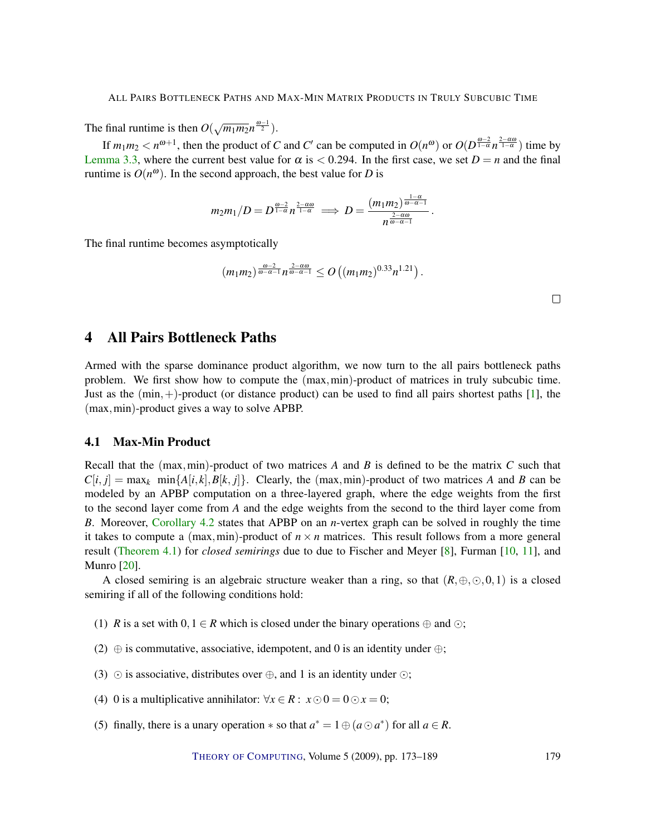<span id="page-6-0"></span>The final runtime is then  $O(\sqrt{m_1 m_2} n^{\frac{\omega-1}{2}})$ .

If  $m_1 m_2 < n^{\omega+1}$ , then the product of *C* and *C'* can be computed in  $O(n^{\omega})$  or  $O(D^{\frac{\omega-2}{1-\alpha}}n^{\frac{2-\alpha\omega}{1-\alpha}})$  time by Lemma [3.3, where the current best value for](#page-5-0)  $\alpha$  is  $\lt$  0.294. In the first case, we set  $D = n$  and the final runtime is  $O(n^{\omega})$ . In the second approach, the best value for *D* is

$$
m_2m_1/D=D^{\frac{\omega-2}{1-\alpha}}n^{\frac{2-\alpha\omega}{1-\alpha}}\implies D=\frac{(m_1m_2)^{\frac{1-\alpha}{\omega-\alpha-1}}}{n^{\frac{2-\alpha\omega}{\omega-\alpha-1}}}.
$$

The final runtime becomes asymptotically

$$
(m_1m_2)^{\frac{\omega-2}{\omega-\alpha-1}}n^{\frac{2-\alpha\omega}{\omega-\alpha-1}} \leq O((m_1m_2)^{0.33}n^{1.21}).
$$

 $\Box$ 

# 4 All Pairs Bottleneck Paths

Armed with the sparse dominance product algorithm, we now turn to the all pairs bottleneck paths problem. We first show how to compute the (max,min)-product of matrices in truly subcubic time. Just as the  $(\min,+)$ -product (or distance product) can be used to find all pairs shortest paths [\[1\]](#page-13-4), the (max,min)-product gives a way to solve APBP.

## 4.1 Max-Min Product

Recall that the (max,min)-product of two matrices *A* and *B* is defined to be the matrix *C* such that  $C[i, j] = \max_k \min\{A[i, k], B[k, j]\}.$  Clearly, the (max,min)-product of two matrices *A* and *B* can be modeled by an APBP computation on a three-layered graph, where the edge weights from the first to the second layer come from *A* and the edge weights from the second to the third layer come from *B*. Moreover, Corollary [4.2](#page-7-0) states that APBP on an *n*[-vertex graph can be solved in roughly the time](#page-7-0) it takes to compute a (max,min)-product of  $n \times n$  matrices. This result follows from a more general result (Theorem [4.1\)](#page-7-1) for *closed semirings* [due to due to Fischer and Meyer \[8\], Furman \[10,](#page-7-1) [11\]](#page-14-10), and Munro [\[20\]](#page-14-11).

A closed semiring is an algebraic structure weaker than a ring, so that  $(R, \oplus, \odot, 0, 1)$  is a closed semiring if all of the following conditions hold:

- (1) *R* is a set with  $0, 1 \in R$  which is closed under the binary operations  $\oplus$  and  $\odot$ ;
- (2)  $\oplus$  is commutative, associative, idempotent, and 0 is an identity under  $\oplus$ ;
- (3)  $\odot$  is associative, distributes over  $\oplus$ , and 1 is an identity under  $\odot$ ;
- (4) 0 is a multiplicative annihilator:  $\forall x \in R : x \odot 0 = 0 \odot x = 0;$
- (5) finally, there is a unary operation  $*$  so that  $a^* = 1 \oplus (a \odot a^*)$  for all  $a \in R$ .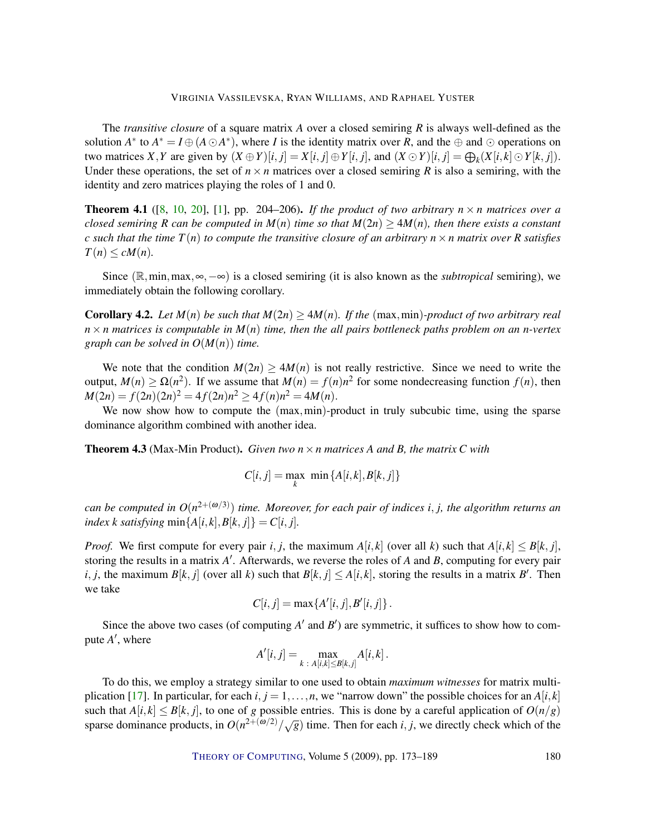#### VIRGINIA VASSILEVSKA, RYAN WILLIAMS, AND RAPHAEL YUSTER

<span id="page-7-2"></span>The *transitive closure* of a square matrix *A* over a closed semiring *R* is always well-defined as the solution  $A^*$  to  $A^* = I \oplus (A \odot A^*)$ , where *I* is the identity matrix over *R*, and the  $\oplus$  and  $\odot$  operations on two matrices X, Y are given by  $(X \oplus Y)[i, j] = X[i, j] \oplus Y[i, j]$ , and  $(X \odot Y)[i, j] = \bigoplus_k (X[i, k] \odot Y[k, j])$ . Under these operations, the set of  $n \times n$  matrices over a closed semiring *R* is also a semiring, with the identity and zero matrices playing the roles of 1 and 0.

<span id="page-7-1"></span>**Theorem 4.1** ([\[8,](#page-14-8) [10,](#page-14-9) [20\]](#page-14-11), [\[1\]](#page-13-4), pp. 204–206). *If the product of two arbitrary n*  $\times$  *n matrices over a closed semiring R can be computed in*  $M(n)$  *time so that*  $M(2n) \geq 4M(n)$ *, then there exists a constant c* such that the time  $T(n)$  to compute the transitive closure of an arbitrary  $n \times n$  matrix over R satisfies  $T(n) \leq cM(n)$ .

Since (R,min,max,∞,−∞) is a closed semiring (it is also known as the *subtropical* semiring), we immediately obtain the following corollary.

<span id="page-7-0"></span>**Corollary 4.2.** Let  $M(n)$  be such that  $M(2n) > 4M(n)$ . If the (max,min)*-product of two arbitrary real*  $n \times n$  matrices is computable in  $M(n)$  time, then the all pairs bottleneck paths problem on an n-vertex *graph can be solved in O*(*M*(*n*)) *time.*

We note that the condition  $M(2n) > 4M(n)$  is not really restrictive. Since we need to write the output,  $M(n) \ge \Omega(n^2)$ . If we assume that  $M(n) = f(n)n^2$  for some nondecreasing function  $f(n)$ , then  $M(2n) = f(2n)(2n)^2 = 4f(2n)n^2 \ge 4f(n)n^2 = 4M(n).$ 

We now show how to compute the  $(max,min)$ -product in truly subcubic time, using the sparse dominance algorithm combined with another idea.

Theorem 4.3 (Max-Min Product). *Given two n*×*n matrices A and B, the matrix C with*

$$
C[i, j] = \max_{k} \min \{A[i, k], B[k, j]\}
$$

can be computed in  $O(n^{2+(\omega/3)})$  time. Moreover, for each pair of indices i, j, the algorithm returns an *index k satisfying*  $\min\{A[i,k], B[k,j]\} = C[i, j]$ .

*Proof.* We first compute for every pair *i*, *j*, the maximum  $A[i, k]$  (over all *k*) such that  $A[i, k] \leq B[k, j]$ , storing the results in a matrix A'. Afterwards, we reverse the roles of A and B, computing for every pair *i*, *j*, the maximum *B*[*k*, *j*] (over all *k*) such that *B*[*k*, *j*]  $\leq$  *A*[*i*, *k*], storing the results in a matrix *B*<sup>*'*</sup>. Then we take

$$
C[i, j] = \max\{A'[i, j], B'[i, j]\}.
$$

Since the above two cases (of computing  $A'$  and  $B'$ ) are symmetric, it suffices to show how to compute  $A'$ , where

$$
A'[i,j] = \max_{k \,:\, A[i,k] \leq B[k,j]} A[i,k].
$$

To do this, we employ a strategy similar to one used to obtain *maximum witnesses* for matrix multi-plication [\[17\]](#page-14-12). In particular, for each  $i, j = 1, \ldots, n$ , we "narrow down" the possible choices for an  $A[i, k]$ such that  $A[i, k] \leq B[k, j]$ , to one of *g* possible entries. This is done by a careful application of  $O(n/g)$ sparse dominance products, in  $O(n^{2+(ω/2)}/\sqrt{g})$  time. Then for each *i*, *j*, we directly check which of the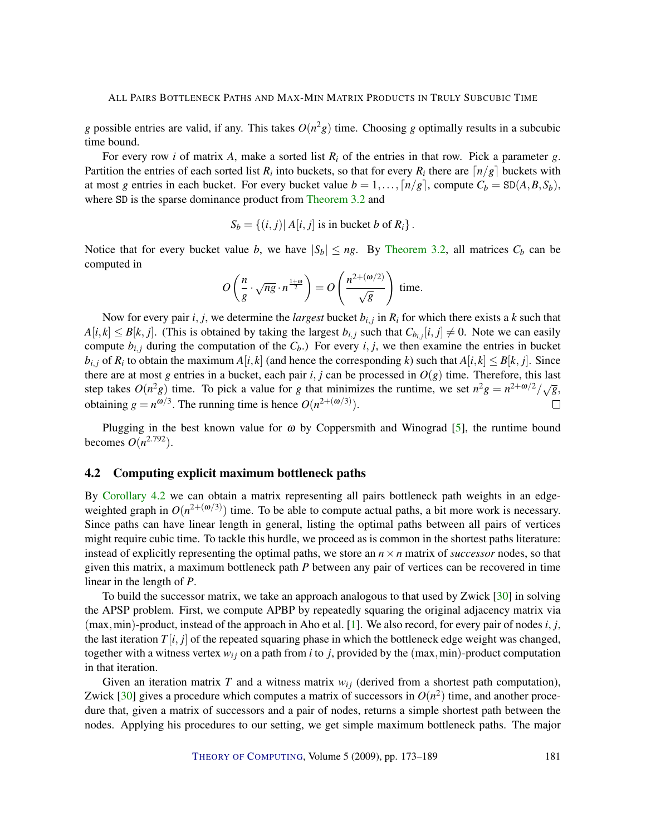<span id="page-8-0"></span>*g* possible entries are valid, if any. This takes  $O(n^2g)$  time. Choosing *g* optimally results in a subcubic time bound.

For every row *i* of matrix *A*, make a sorted list *R<sup>i</sup>* of the entries in that row. Pick a parameter *g*. Partition the entries of each sorted list  $R_i$  into buckets, so that for every  $R_i$  there are  $\lceil n/g \rceil$  buckets with at most *g* entries in each bucket. For every bucket value  $b = 1, \ldots, \lceil n/g \rceil$ , compute  $C_b = SD(A, B, S_b)$ , where SD is the sparse dominance product from [Theorem](#page-4-0) [3.2](#page-4-0) and

$$
S_b = \{(i, j) | A[i, j] \text{ is in bucket } b \text{ of } R_i\}.
$$

Notice that for every bucket value *b*, we have  $|S_b| \leq ng$ . By Theorem [3.2, all matrices](#page-4-0)  $C_b$  can be computed in

$$
O\left(\frac{n}{g} \cdot \sqrt{ng} \cdot n^{\frac{1+\omega}{2}}\right) = O\left(\frac{n^{2+(\omega/2)}}{\sqrt{g}}\right) \text{ time.}
$$

Now for every pair *i*, *j*, we determine the *largest* bucket  $b_{i,j}$  in  $R_i$  for which there exists a  $k$  such that  $A[i,k] \leq B[k,j]$ . (This is obtained by taking the largest  $b_{i,j}$  such that  $C_{b_{i,j}}[i,j] \neq 0$ . Note we can easily compute  $b_{i,j}$  during the computation of the  $C_b$ .) For every  $i, j$ , we then examine the entries in bucket  $b_{i,j}$  of  $R_i$  to obtain the maximum  $A[i,k]$  (and hence the corresponding *k*) such that  $A[i,k] \le B[k,j]$ . Since there are at most *g* entries in a bucket, each pair  $i, j$  can be processed in  $O(g)$  time. Therefore, this last step takes  $O(n^2g)$  time. To pick a value for *g* that minimizes the runtime, we set  $n^2g = n^{2+\omega/2}/\sqrt{g}$ , obtaining  $g = n^{\omega/3}$ . The running time is hence  $O(n^{2+(\omega/3)})$ .  $\Box$ 

Plugging in the best known value for  $\omega$  by Coppersmith and Winograd [\[5\]](#page-13-2), the runtime bound becomes  $O(n^{2.792})$ .

## 4.2 Computing explicit maximum bottleneck paths

By Corollary [4.2](#page-7-0) [we can obtain a matrix representing all pairs bottleneck path weights in an edge](#page-7-0)weighted graph in  $O(n^{2+(\omega/3)})$  time. To be able to compute actual paths, a bit more work is necessary. Since paths can have linear length in general, listing the optimal paths between all pairs of vertices might require cubic time. To tackle this hurdle, we proceed as is common in the shortest paths literature: instead of explicitly representing the optimal paths, we store an  $n \times n$  matrix of *successor* nodes, so that given this matrix, a maximum bottleneck path *P* between any pair of vertices can be recovered in time linear in the length of *P*.

To build the successor matrix, we take an approach analogous to that used by Zwick [\[30\]](#page-15-4) in solving the APSP problem. First, we compute APBP by repeatedly squaring the original adjacency matrix via (max,min)-product, instead of the approach in Aho et al. [\[1\]](#page-13-4). We also record, for every pair of nodes *i*, *j*, the last iteration  $T[i, j]$  of the repeated squaring phase in which the bottleneck edge weight was changed, together with a witness vertex  $w_{ij}$  on a path from *i* to *j*, provided by the (max, min)-product computation in that iteration.

Given an iteration matrix  $T$  and a witness matrix  $w_{ij}$  (derived from a shortest path computation), Zwick  $[30]$  gives a procedure which computes a matrix of successors in  $O(n^2)$  time, and another procedure that, given a matrix of successors and a pair of nodes, returns a simple shortest path between the nodes. Applying his procedures to our setting, we get simple maximum bottleneck paths. The major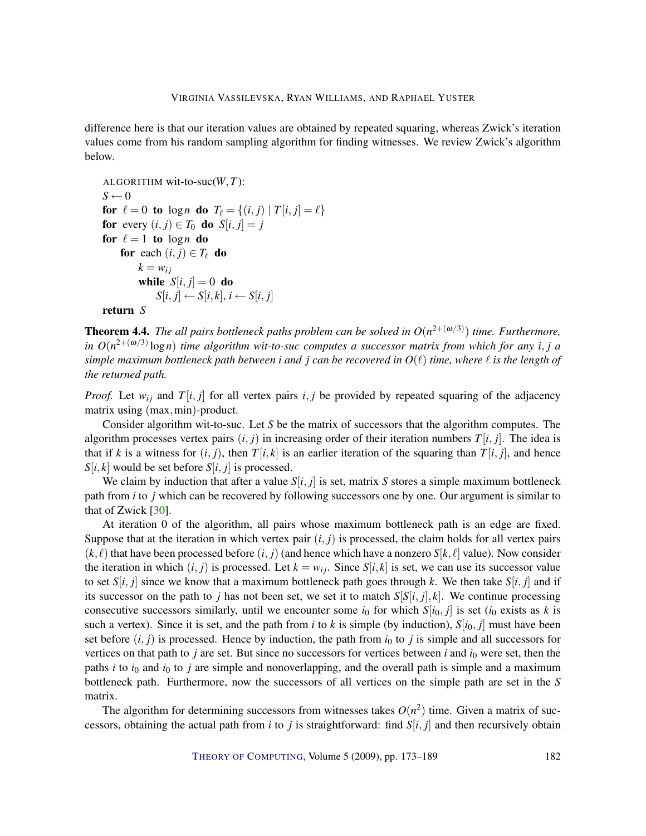<span id="page-9-0"></span>difference here is that our iteration values are obtained by repeated squaring, whereas Zwick's iteration values come from his random sampling algorithm for finding witnesses. We review Zwick's algorithm below.

```
ALGORITHM wit-to-suc(W,T):
S \leftarrow 0for \ell = 0 to logn do T_{\ell} = \{(i, j) | T[i, j] = \ell\}for every (i, j) \in T_0 do S[i, j] = jfor \ell = 1 to logn do
    for each (i, j) \in T_\ell do
         k = w_{ij}while S[i, j] = 0 do
             S[i, j] \leftarrow S[i, k], i \leftarrow S[i, j]return S
```
**Theorem 4.4.** The all pairs bottleneck paths problem can be solved in  $O(n^{2+(ω/3)})$  time. Furthermore, *in O*(*n* 2+(ω/3) log*n*) *time algorithm wit-to-suc computes a successor matrix from which for any i*, *j a simple maximum bottleneck path between i and j can be recovered in*  $O(\ell)$  *time, where*  $\ell$  *is the length of the returned path.*

*Proof.* Let  $w_{ij}$  and  $T[i, j]$  for all vertex pairs  $i, j$  be provided by repeated squaring of the adjacency matrix using  $(max,min)$ -product.

Consider algorithm wit-to-suc. Let *S* be the matrix of successors that the algorithm computes. The algorithm processes vertex pairs  $(i, j)$  in increasing order of their iteration numbers  $T[i, j]$ . The idea is that if *k* is a witness for  $(i, j)$ , then  $T[i, k]$  is an earlier iteration of the squaring than  $T[i, j]$ , and hence  $S[i, k]$  would be set before  $S[i, j]$  is processed.

We claim by induction that after a value  $S[i, j]$  is set, matrix *S* stores a simple maximum bottleneck path from *i* to *j* which can be recovered by following successors one by one. Our argument is similar to that of Zwick [\[30\]](#page-15-4).

At iteration 0 of the algorithm, all pairs whose maximum bottleneck path is an edge are fixed. Suppose that at the iteration in which vertex pair  $(i, j)$  is processed, the claim holds for all vertex pairs  $(k, l)$  that have been processed before  $(i, j)$  (and hence which have a nonzero  $S[k, l]$  value). Now consider the iteration in which  $(i, j)$  is processed. Let  $k = w_{ij}$ . Since  $S[i, k]$  is set, we can use its successor value to set  $S[i, j]$  since we know that a maximum bottleneck path goes through k. We then take  $S[i, j]$  and if its successor on the path to *j* has not been set, we set it to match  $S[S[i, j], k]$ . We continue processing consecutive successors similarly, until we encounter some  $i_0$  for which  $S[i_0, j]$  is set ( $i_0$  exists as  $k$  is such a vertex). Since it is set, and the path from *i* to *k* is simple (by induction),  $S[i_0, j]$  must have been set before  $(i, j)$  is processed. Hence by induction, the path from  $i<sub>0</sub>$  to  $j$  is simple and all successors for vertices on that path to *j* are set. But since no successors for vertices between *i* and  $i_0$  were set, then the paths  $i$  to  $i<sub>0</sub>$  and  $i<sub>0</sub>$  to  $j$  are simple and nonoverlapping, and the overall path is simple and a maximum bottleneck path. Furthermore, now the successors of all vertices on the simple path are set in the *S* matrix.

The algorithm for determining successors from witnesses takes  $O(n^2)$  time. Given a matrix of successors, obtaining the actual path from *i* to *j* is straightforward: find  $S[i, j]$  and then recursively obtain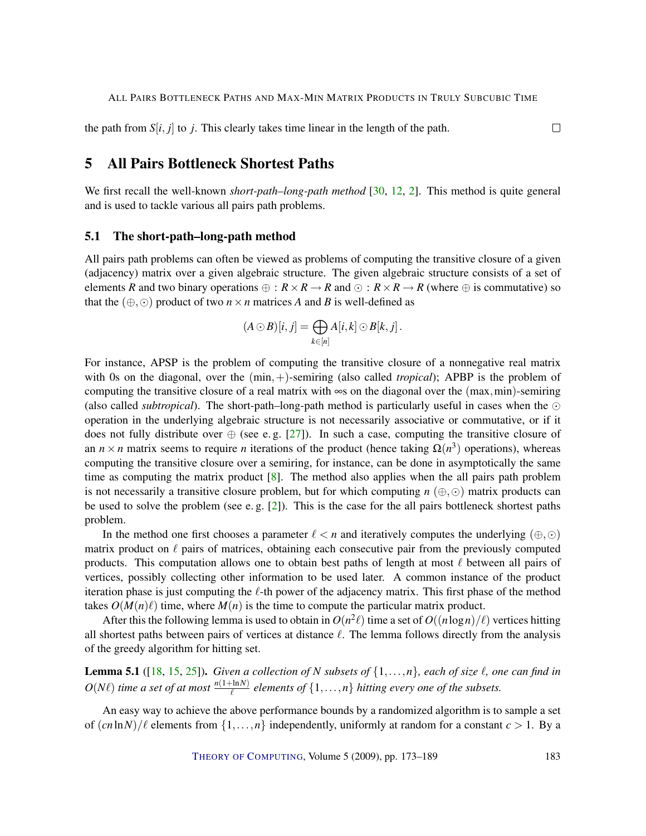$\Box$ 

<span id="page-10-0"></span>the path from  $S[i, j]$  to *j*. This clearly takes time linear in the length of the path.

# 5 All Pairs Bottleneck Shortest Paths

We first recall the well-known *short-path–long-path method* [\[30,](#page-15-4) [12,](#page-14-0) [2\]](#page-13-0). This method is quite general and is used to tackle various all pairs path problems.

## 5.1 The short-path–long-path method

All pairs path problems can often be viewed as problems of computing the transitive closure of a given (adjacency) matrix over a given algebraic structure. The given algebraic structure consists of a set of elements *R* and two binary operations  $\oplus$  :  $R \times R \to R$  and  $\odot$  :  $R \times R \to R$  (where  $\oplus$  is commutative) so that the  $(\oplus, \odot)$  product of two  $n \times n$  matrices *A* and *B* is well-defined as

$$
(A \odot B)[i, j] = \bigoplus_{k \in [n]} A[i, k] \odot B[k, j].
$$

For instance, APSP is the problem of computing the transitive closure of a nonnegative real matrix with 0s on the diagonal, over the  $(min,+)$ -semiring (also called *tropical*); APBP is the problem of computing the transitive closure of a real matrix with  $\infty$ s on the diagonal over the (max,min)-semiring (also called *subtropical*). The short-path–long-path method is particularly useful in cases when the  $\odot$ operation in the underlying algebraic structure is not necessarily associative or commutative, or if it does not fully distribute over  $\oplus$  (see e.g. [\[27\]](#page-15-8)). In such a case, computing the transitive closure of an  $n \times n$  matrix seems to require *n* iterations of the product (hence taking  $\Omega(n^3)$  operations), whereas computing the transitive closure over a semiring, for instance, can be done in asymptotically the same time as computing the matrix product [\[8\]](#page-14-8). The method also applies when the all pairs path problem is not necessarily a transitive closure problem, but for which computing  $n \left( \bigoplus, \odot \right)$  matrix products can be used to solve the problem (see e.g.  $[2]$ ). This is the case for the all pairs bottleneck shortest paths problem.

In the method one first chooses a parameter  $\ell < n$  and iteratively computes the underlying  $(\oplus, \odot)$ matrix product on  $\ell$  pairs of matrices, obtaining each consecutive pair from the previously computed products. This computation allows one to obtain best paths of length at most  $\ell$  between all pairs of vertices, possibly collecting other information to be used later. A common instance of the product iteration phase is just computing the  $\ell$ -th power of the adjacency matrix. This first phase of the method takes  $O(M(n)\ell)$  time, where  $M(n)$  is the time to compute the particular matrix product.

After this the following lemma is used to obtain in  $O(n^2\ell)$  time a set of  $O((n \log n)/\ell)$  vertices hitting all shortest paths between pairs of vertices at distance  $\ell$ . The lemma follows directly from the analysis of the greedy algorithm for hitting set.

**Lemma 5.1** ([\[18,](#page-14-13) [15,](#page-14-14) [25\]](#page-15-9)). *Given a collection of N subsets of*  $\{1, \ldots, n\}$ *, each of size*  $\ell$ *, one can find in*  $O(N\ell)$  *time a set of at most*  $\frac{n(1+\ln N)}{\ell}$  *elements of*  $\{1,\ldots,n\}$  *hitting every one of the subsets.* 

An easy way to achieve the above performance bounds by a randomized algorithm is to sample a set of  $(cn \ln N)/\ell$  elements from  $\{1,\ldots,n\}$  independently, uniformly at random for a constant  $c > 1$ . By a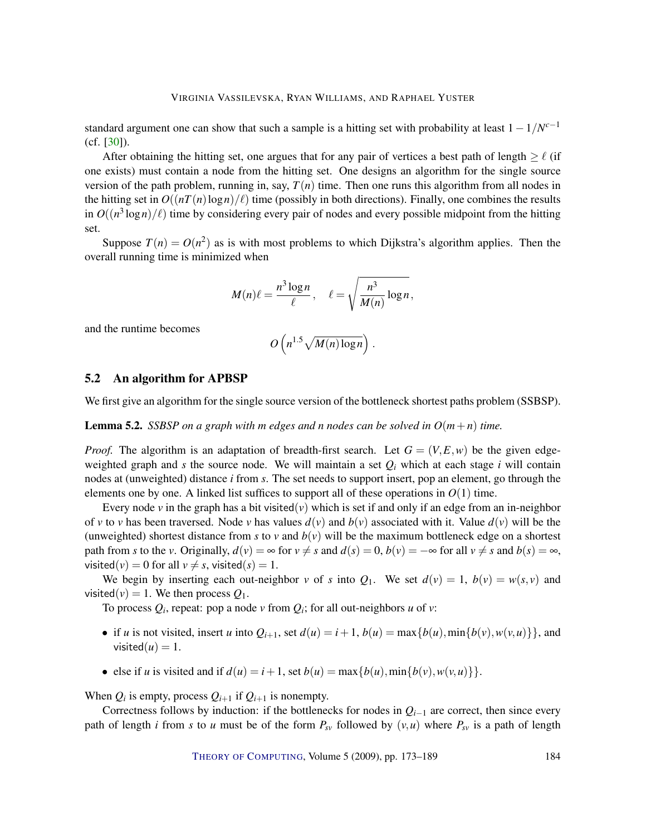<span id="page-11-1"></span>standard argument one can show that such a sample is a hitting set with probability at least 1−1/*N c*−1 (cf. [\[30\]](#page-15-4)).

After obtaining the hitting set, one argues that for any pair of vertices a best path of length  $\geq \ell$  (if one exists) must contain a node from the hitting set. One designs an algorithm for the single source version of the path problem, running in, say,  $T(n)$  time. Then one runs this algorithm from all nodes in the hitting set in  $O((nT(n)\log n)/\ell)$  time (possibly in both directions). Finally, one combines the results in  $O((n^3 \log n)/\ell)$  time by considering every pair of nodes and every possible midpoint from the hitting set.

Suppose  $T(n) = O(n^2)$  as is with most problems to which Dijkstra's algorithm applies. Then the overall running time is minimized when

$$
M(n)\ell=\frac{n^3\log n}{\ell}, \quad \ell=\sqrt{\frac{n^3}{M(n)}\log n},
$$

and the runtime becomes

$$
O\left(n^{1.5}\sqrt{M(n)\log n}\right).
$$

## 5.2 An algorithm for APBSP

<span id="page-11-0"></span>We first give an algorithm for the single source version of the bottleneck shortest paths problem (SSBSP).

**Lemma 5.2.** *SSBSP on a graph with m edges and n nodes can be solved in*  $O(m+n)$  *time.* 

*Proof.* The algorithm is an adaptation of breadth-first search. Let  $G = (V, E, w)$  be the given edgeweighted graph and *s* the source node. We will maintain a set  $Q_i$  which at each stage *i* will contain nodes at (unweighted) distance *i* from *s*. The set needs to support insert, pop an element, go through the elements one by one. A linked list suffices to support all of these operations in  $O(1)$  time.

Every node  $\nu$  in the graph has a bit visited( $\nu$ ) which is set if and only if an edge from an in-neighbor of *v* to *v* has been traversed. Node *v* has values  $d(v)$  and  $b(v)$  associated with it. Value  $d(v)$  will be the (unweighted) shortest distance from *s* to *v* and  $b(v)$  will be the maximum bottleneck edge on a shortest path from *s* to the *v*. Originally,  $d(v) = \infty$  for  $v \neq s$  and  $d(s) = 0$ ,  $b(v) = -\infty$  for all  $v \neq s$  and  $b(s) = \infty$ , visited(*v*) = 0 for all  $v \neq s$ , visited(*s*) = 1.

We begin by inserting each out-neighbor *v* of *s* into  $Q_1$ . We set  $d(v) = 1$ ,  $b(v) = w(s, v)$  and visited( $v$ ) = 1. We then process  $Q_1$ .

To process  $Q_i$ , repeat: pop a node  $v$  from  $Q_i$ ; for all out-neighbors  $u$  of  $v$ :

- if *u* is not visited, insert *u* into  $Q_{i+1}$ , set  $d(u) = i+1$ ,  $b(u) = \max\{b(u), \min\{b(v), w(v, u)\}\}$ , and visited $(u) = 1$ .
- else if *u* is visited and if  $d(u) = i + 1$ , set  $b(u) = \max\{b(u), \min\{b(v), w(v, u)\}\}.$

When  $Q_i$  is empty, process  $Q_{i+1}$  if  $Q_{i+1}$  is nonempty.

Correctness follows by induction: if the bottlenecks for nodes in *Qi*−<sup>1</sup> are correct, then since every path of length *i* from *s* to *u* must be of the form  $P_{sv}$  followed by  $(v, u)$  where  $P_{sv}$  is a path of length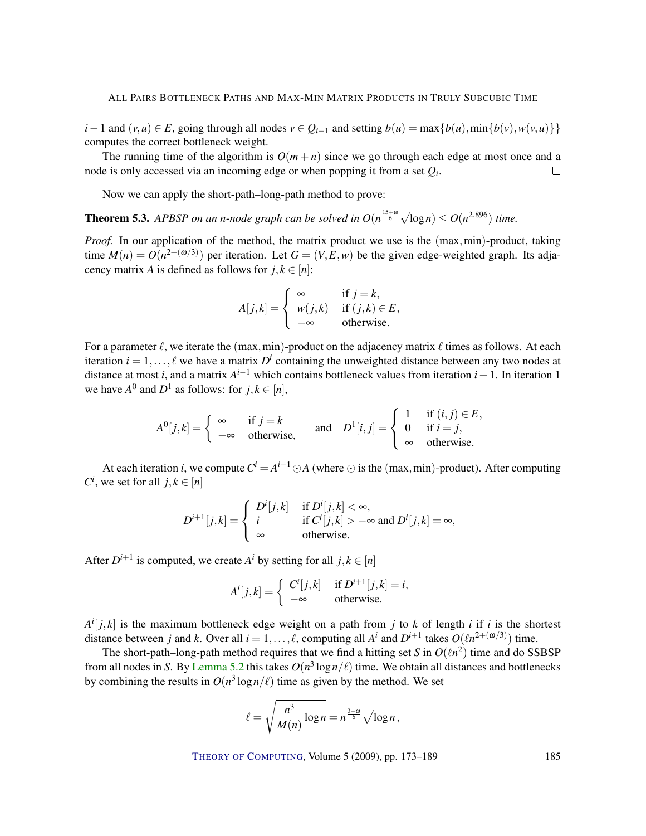*i*−1 and  $(v, u) \in E$ , going through all nodes  $v \in Q_{i-1}$  and setting  $b(u) = \max\{b(u), \min\{b(v), w(v, u)\}\}\$ computes the correct bottleneck weight.

The running time of the algorithm is  $O(m+n)$  since we go through each edge at most once and a node is only accessed via an incoming edge or when popping it from a set *Q<sup>i</sup>* .  $\Box$ 

Now we can apply the short-path–long-path method to prove:

**Theorem 5.3.** APBSP on an n-node graph can be solved in  $O(n^{\frac{15+\omega}{6}}\sqrt{150})$  $\overline{\log n}$ )  $\leq O(n^{2.896})$  *time.* 

*Proof.* In our application of the method, the matrix product we use is the (max,min)-product, taking time  $M(n) = O(n^{2+(ω/3)})$  per iteration. Let  $G = (V, E, w)$  be the given edge-weighted graph. Its adjacency matrix *A* is defined as follows for  $j, k \in [n]$ :

$$
A[j,k] = \begin{cases} \infty & \text{if } j = k, \\ w(j,k) & \text{if } (j,k) \in E, \\ -\infty & \text{otherwise.} \end{cases}
$$

For a parameter  $\ell$ , we iterate the (max,min)-product on the adjacency matrix  $\ell$  times as follows. At each iteration  $i = 1, ..., \ell$  we have a matrix  $D^i$  containing the unweighted distance between any two nodes at distance at most *i*, and a matrix  $A^{i-1}$  which contains bottleneck values from iteration *i* − 1. In iteration 1 we have  $A^0$  and  $D^1$  as follows: for  $j, k \in [n]$ ,

$$
A^{0}[j,k] = \begin{cases} \infty & \text{if } j = k \\ -\infty & \text{otherwise,} \end{cases} \quad \text{and} \quad D^{1}[i,j] = \begin{cases} 1 & \text{if } (i,j) \in E, \\ 0 & \text{if } i = j, \\ \infty & \text{otherwise.} \end{cases}
$$

At each iteration *i*, we compute  $C^i = A^{i-1} \odot A$  (where  $\odot$  is the (max, min)-product). After computing  $C^i$ , we set for all  $j, k \in [n]$ 

$$
D^{i+1}[j,k] = \begin{cases} D^{i}[j,k] & \text{if } D^{i}[j,k] < \infty, \\ i & \text{if } C^{i}[j,k] > -\infty \text{ and } D^{i}[j,k] = \infty, \\ \infty & \text{otherwise.} \end{cases}
$$

After  $D^{i+1}$  is computed, we create  $A^i$  by setting for all  $j, k \in [n]$ 

$$
A^{i}[j,k] = \begin{cases} C^{i}[j,k] & \text{if } D^{i+1}[j,k] = i, \\ -\infty & \text{otherwise.} \end{cases}
$$

 $A^{i}[j,k]$  is the maximum bottleneck edge weight on a path from *j* to *k* of length *i* if *i* is the shortest distance between *j* and *k*. Over all  $i = 1, ..., \ell$ , computing all  $A^i$  and  $D^{i+1}$  takes  $O(\ell n^{2+(\omega/3)})$  time.

The short-path–long-path method requires that we find a hitting set *S* in  $O(\ell n^2)$  time and do SSBSP from all nodes in *S*. By Lemma [5.2](#page-11-0) this takes  $O(n^3 \log n/\ell)$  [time. We obtain all distances and bottlenecks](#page-11-0) by combining the results in  $O(n^3 \log n/\ell)$  time as given by the method. We set

$$
\ell = \sqrt{\frac{n^3}{M(n)} \log n} = n^{\frac{3-\omega}{6}} \sqrt{\log n},
$$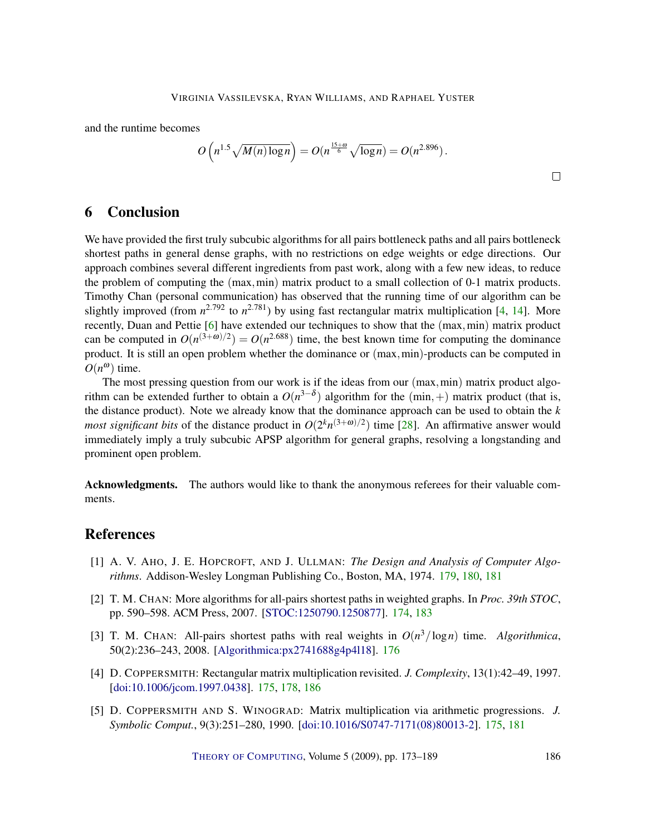<span id="page-13-5"></span>and the runtime becomes

$$
O\left(n^{1.5}\sqrt{M(n)\log n}\right) = O(n^{\frac{15+\omega}{6}}\sqrt{\log n}) = O(n^{2.896}).
$$

# 6 Conclusion

We have provided the first truly subcubic algorithms for all pairs bottleneck paths and all pairs bottleneck shortest paths in general dense graphs, with no restrictions on edge weights or edge directions. Our approach combines several different ingredients from past work, along with a few new ideas, to reduce the problem of computing the (max,min) matrix product to a small collection of 0-1 matrix products. Timothy Chan (personal communication) has observed that the running time of our algorithm can be slightly improved (from  $n^{2.792}$  to  $n^{2.781}$ ) by using fast rectangular matrix multiplication [\[4,](#page-13-1) [14\]](#page-14-6). More recently, Duan and Pettie [\[6\]](#page-14-15) have extended our techniques to show that the (max,min) matrix product can be computed in  $O(n^{(3+\omega)/2}) = O(n^{2.688})$  time, the best known time for computing the dominance product. It is still an open problem whether the dominance or (max,min)-products can be computed in  $O(n^{\omega})$  time.

The most pressing question from our work is if the ideas from our (max,min) matrix product algorithm can be extended further to obtain a  $O(n^{3-\delta})$  algorithm for the  $(\min, +)$  matrix product (that is, the distance product). Note we already know that the dominance approach can be used to obtain the *k most significant bits* of the distance product in  $O(2^k n^{(3+\omega)/2})$  time [\[28\]](#page-15-7). An affirmative answer would immediately imply a truly subcubic APSP algorithm for general graphs, resolving a longstanding and prominent open problem.

Acknowledgments. The authors would like to thank the anonymous referees for their valuable comments.

# References

- <span id="page-13-4"></span>[1] A. V. AHO, J. E. HOPCROFT, AND J. ULLMAN: *The Design and Analysis of Computer Algorithms*. Addison-Wesley Longman Publishing Co., Boston, MA, 1974. [179,](#page-6-0) [180,](#page-7-2) [181](#page-8-0)
- <span id="page-13-0"></span>[2] T. M. CHAN: More algorithms for all-pairs shortest paths in weighted graphs. In *Proc. 39th STOC*, pp. 590–598. ACM Press, 2007. [\[STOC:1250790.1250877\]](http://portal.acm.org/citation.cfm?id=1250790.1250877). [174,](#page-1-0) [183](#page-10-0)
- <span id="page-13-3"></span>[3] T. M. CHAN: All-pairs shortest paths with real weights in  $O(n^3/\log n)$  time. Algorithmica, 50(2):236–243, 2008. [\[Algorithmica:px2741688g4p4l18\]](http://springerlink.metapress.com/link.asp?id=px2741688g4p4l18). [176](#page-3-1)
- <span id="page-13-1"></span>[4] D. COPPERSMITH: Rectangular matrix multiplication revisited. *J. Complexity*, 13(1):42–49, 1997. [\[doi:10.1006/jcom.1997.0438\]](http://dx.doi.org/10.1006/jcom.1997.0438). [175,](#page-2-1) [178,](#page-5-1) [186](#page-13-5)
- <span id="page-13-2"></span>[5] D. COPPERSMITH AND S. WINOGRAD: Matrix multiplication via arithmetic progressions. *J. Symbolic Comput.*, 9(3):251–280, 1990. [\[doi:10.1016/S0747-7171\(08\)80013-2\]](http://dx.doi.org/10.1016/S0747-7171(08)80013-2). [175,](#page-2-1) [181](#page-8-0)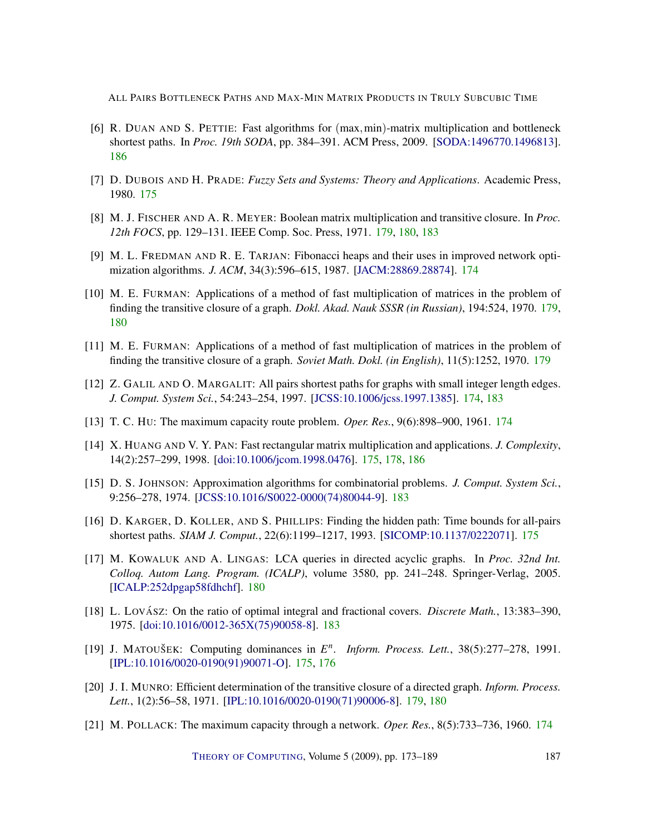- <span id="page-14-15"></span>[6] R. DUAN AND S. PETTIE: Fast algorithms for  $(max,min)$ -matrix multiplication and bottleneck shortest paths. In *Proc. 19th SODA*, pp. 384–391. ACM Press, 2009. [\[SODA:1496770.1496813\]](http://portal.acm.org/citation.cfm?id=1496770.1496813). [186](#page-13-5)
- <span id="page-14-4"></span>[7] D. DUBOIS AND H. PRADE: *Fuzzy Sets and Systems: Theory and Applications*. Academic Press, 1980. [175](#page-2-1)
- <span id="page-14-8"></span>[8] M. J. FISCHER AND A. R. MEYER: Boolean matrix multiplication and transitive closure. In *Proc. 12th FOCS*, pp. 129–131. IEEE Comp. Soc. Press, 1971. [179,](#page-6-0) [180,](#page-7-2) [183](#page-10-0)
- <span id="page-14-3"></span>[9] M. L. FREDMAN AND R. E. TARJAN: Fibonacci heaps and their uses in improved network optimization algorithms. *J. ACM*, 34(3):596–615, 1987. [\[JACM:28869.28874\]](http://portal.acm.org/citation.cfm?id=28869.28874). [174](#page-1-0)
- <span id="page-14-9"></span>[10] M. E. FURMAN: Applications of a method of fast multiplication of matrices in the problem of finding the transitive closure of a graph. *Dokl. Akad. Nauk SSSR (in Russian)*, 194:524, 1970. [179,](#page-6-0) [180](#page-7-2)
- <span id="page-14-10"></span>[11] M. E. FURMAN: Applications of a method of fast multiplication of matrices in the problem of finding the transitive closure of a graph. *Soviet Math. Dokl. (in English)*, 11(5):1252, 1970. [179](#page-6-0)
- <span id="page-14-0"></span>[12] Z. GALIL AND O. MARGALIT: All pairs shortest paths for graphs with small integer length edges. *J. Comput. System Sci.*, 54:243–254, 1997. [\[JCSS:10.1006/jcss.1997.1385\]](http://dx.doi.org/10.1006/jcss.1997.1385). [174,](#page-1-0) [183](#page-10-0)
- <span id="page-14-2"></span>[13] T. C. HU: The maximum capacity route problem. *Oper. Res.*, 9(6):898–900, 1961. [174](#page-1-0)
- <span id="page-14-6"></span>[14] X. HUANG AND V. Y. PAN: Fast rectangular matrix multiplication and applications. *J. Complexity*, 14(2):257–299, 1998. [\[doi:10.1006/jcom.1998.0476\]](http://dx.doi.org/10.1006/jcom.1998.0476). [175,](#page-2-1) [178,](#page-5-1) [186](#page-13-5)
- <span id="page-14-14"></span>[15] D. S. JOHNSON: Approximation algorithms for combinatorial problems. *J. Comput. System Sci.*, 9:256–278, 1974. [\[JCSS:10.1016/S0022-0000\(74\)80044-9\]](http://dx.doi.org/10.1016/S0022-0000(74)80044-9). [183](#page-10-0)
- <span id="page-14-5"></span>[16] D. KARGER, D. KOLLER, AND S. PHILLIPS: Finding the hidden path: Time bounds for all-pairs shortest paths. *SIAM J. Comput.*, 22(6):1199–1217, 1993. [\[SICOMP:10.1137/0222071\]](http://dx.doi.org/10.1137/0222071). [175](#page-2-1)
- <span id="page-14-12"></span>[17] M. KOWALUK AND A. LINGAS: LCA queries in directed acyclic graphs. In *Proc. 32nd Int. Colloq. Autom Lang. Program. (ICALP)*, volume 3580, pp. 241–248. Springer-Verlag, 2005. [\[ICALP:252dpgap58fdhchf\]](http://springerlink.metapress.com/link.asp?id=252dpgap58fdhchf). [180](#page-7-2)
- <span id="page-14-13"></span>[18] L. Lovász: On the ratio of optimal integral and fractional covers. *Discrete Math.*, 13:383–390, 1975. [\[doi:10.1016/0012-365X\(75\)90058-8\]](http://dx.doi.org/10.1016/0012-365X(75)90058-8). [183](#page-10-0)
- <span id="page-14-7"></span>[19] J. MATOUŠEK: Computing dominances in  $E<sup>n</sup>$ . Inform. Process. Lett., 38(5):277-278, 1991. [\[IPL:10.1016/0020-0190\(91\)90071-O\]](http://dx.doi.org/10.1016/0020-0190(91)90071-O). [175,](#page-2-1) [176](#page-3-1)
- <span id="page-14-11"></span>[20] J. I. MUNRO: Efficient determination of the transitive closure of a directed graph. *Inform. Process. Lett.*, 1(2):56–58, 1971. [\[IPL:10.1016/0020-0190\(71\)90006-8\]](http://dx.doi.org/10.1016/0020-0190(71)90006-8). [179,](#page-6-0) [180](#page-7-2)
- <span id="page-14-1"></span>[21] M. POLLACK: The maximum capacity through a network. *Oper. Res.*, 8(5):733–736, 1960. [174](#page-1-0)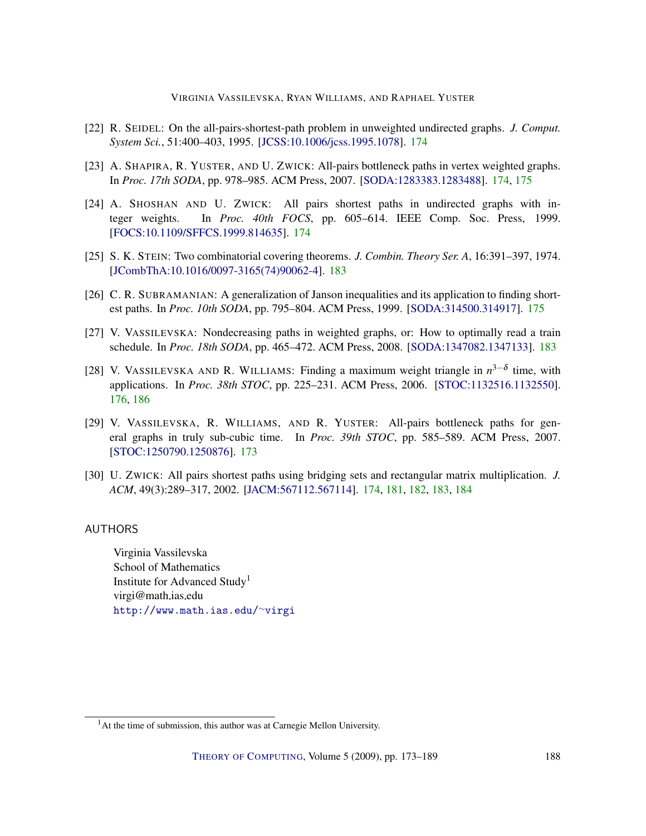VIRGINIA VASSILEVSKA, RYAN WILLIAMS, AND RAPHAEL YUSTER

- <span id="page-15-2"></span>[22] R. SEIDEL: On the all-pairs-shortest-path problem in unweighted undirected graphs. *J. Comput. System Sci.*, 51:400–403, 1995. [\[JCSS:10.1006/jcss.1995.1078\]](http://dx.doi.org/10.1006/jcss.1995.1078). [174](#page-1-0)
- <span id="page-15-5"></span>[23] A. SHAPIRA, R. YUSTER, AND U. ZWICK: All-pairs bottleneck paths in vertex weighted graphs. In *Proc. 17th SODA*, pp. 978–985. ACM Press, 2007. [\[SODA:1283383.1283488\]](http://portal.acm.org/citation.cfm?id=1283383.1283488). [174,](#page-1-0) [175](#page-2-1)
- <span id="page-15-3"></span>[24] A. SHOSHAN AND U. ZWICK: All pairs shortest paths in undirected graphs with integer weights. In *Proc. 40th FOCS*, pp. 605–614. IEEE Comp. Soc. Press, 1999. [\[FOCS:10.1109/SFFCS.1999.814635\]](http://doi.ieeecomputersociety.org//10.1109/SFFCS.1999.814635). [174](#page-1-0)
- <span id="page-15-9"></span>[25] S. K. STEIN: Two combinatorial covering theorems. *J. Combin. Theory Ser. A*, 16:391–397, 1974. [\[JCombThA:10.1016/0097-3165\(74\)90062-4\]](http://dx.doi.org/10.1016/0097-3165(74)90062-4). [183](#page-10-0)
- <span id="page-15-6"></span>[26] C. R. SUBRAMANIAN: A generalization of Janson inequalities and its application to finding shortest paths. In *Proc. 10th SODA*, pp. 795–804. ACM Press, 1999. [\[SODA:314500.314917\]](http://portal.acm.org/citation.cfm?id=314500.314917). [175](#page-2-1)
- <span id="page-15-8"></span>[27] V. VASSILEVSKA: Nondecreasing paths in weighted graphs, or: How to optimally read a train schedule. In *Proc. 18th SODA*, pp. 465–472. ACM Press, 2008. [\[SODA:1347082.1347133\]](http://portal.acm.org/citation.cfm?id=1347082.1347133). [183](#page-10-0)
- <span id="page-15-7"></span>[28] V. VASSILEVSKA AND R. WILLIAMS: Finding a maximum weight triangle in  $n^{3-\delta}$  time, with applications. In *Proc. 38th STOC*, pp. 225–231. ACM Press, 2006. [\[STOC:1132516.1132550\]](http://portal.acm.org/citation.cfm?id=1132516.1132550). [176,](#page-3-1) [186](#page-13-5)
- <span id="page-15-1"></span>[29] V. VASSILEVSKA, R. WILLIAMS, AND R. YUSTER: All-pairs bottleneck paths for general graphs in truly sub-cubic time. In *Proc. 39th STOC*, pp. 585–589. ACM Press, 2007. [\[STOC:1250790.1250876\]](http://portal.acm.org/citation.cfm?id=1250790.1250876). [173](#page-0-0)
- <span id="page-15-4"></span>[30] U. ZWICK: All pairs shortest paths using bridging sets and rectangular matrix multiplication. *J. ACM*, 49(3):289–317, 2002. [\[JACM:567112.567114\]](http://portal.acm.org/citation.cfm?id=567112.567114). [174,](#page-1-0) [181,](#page-8-0) [182,](#page-9-0) [183,](#page-10-0) [184](#page-11-1)

## <span id="page-15-0"></span>AUTHORS

Virginia Vassilevska School of Mathematics Institute for Advanced Study<sup>1</sup> virgi@math.ias.edu [http://www.math.ias.edu/](http://www.math.ias.edu/~virgi)∼virgi

<sup>&</sup>lt;sup>1</sup>At the time of submission, this author was at Carnegie Mellon University.